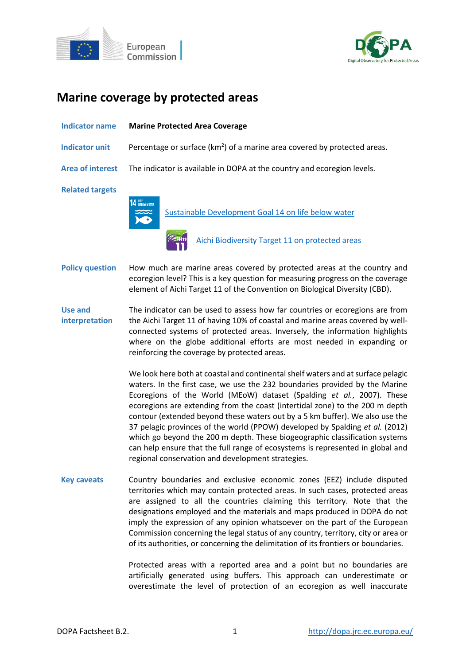



## **Marine coverage by protected areas**

| Indicator name         | <b>Marine Protected Area Coverage</b>                                                    |
|------------------------|------------------------------------------------------------------------------------------|
| Indicator unit         | Percentage or surface (km <sup>2</sup> ) of a marine area covered by protected areas.    |
|                        | Area of interest The indicator is available in DOPA at the country and ecoregion levels. |
| <b>Related targets</b> |                                                                                          |



[Sustainable Development Goal 14 on life below water](https://sdgs.un.org/goals/goal14)



[Aichi Biodiversity Target 11 on protected areas](http://www.cbd.int/sp/targets/rationale/target-11/)

- **Policy question** How much are marine areas covered by protected areas at the country and ecoregion level? This is a key question for measuring progress on the coverage element of Aichi Target 11 of the Convention on Biological Diversity (CBD).
- **Use and interpretation** The indicator can be used to assess how far countries or ecoregions are from the Aichi Target 11 of having 10% of coastal and marine areas covered by wellconnected systems of protected areas. Inversely, the information highlights where on the globe additional efforts are most needed in expanding or reinforcing the coverage by protected areas.

We look here both at coastal and continental shelf waters and at surface pelagic waters. In the first case, we use the 232 boundaries provided by the Marine Ecoregions of the World (MEoW) dataset (Spalding *et al.*, 2007). These ecoregions are extending from the coast (intertidal zone) to the 200 m depth contour (extended beyond these waters out by a 5 km buffer). We also use the 37 pelagic provinces of the world (PPOW) developed by Spalding *et al.* (2012) which go beyond the 200 m depth. These biogeographic classification systems can help ensure that the full range of ecosystems is represented in global and regional conservation and development strategies.

**Key caveats** Country boundaries and exclusive economic zones (EEZ) include disputed territories which may contain protected areas. In such cases, protected areas are assigned to all the countries claiming this territory. Note that the designations employed and the materials and maps produced in DOPA do not imply the expression of any opinion whatsoever on the part of the European Commission concerning the legal status of any country, territory, city or area or of its authorities, or concerning the delimitation of its frontiers or boundaries.

> Protected areas with a reported area and a point but no boundaries are artificially generated using buffers. This approach can underestimate or overestimate the level of protection of an ecoregion as well inaccurate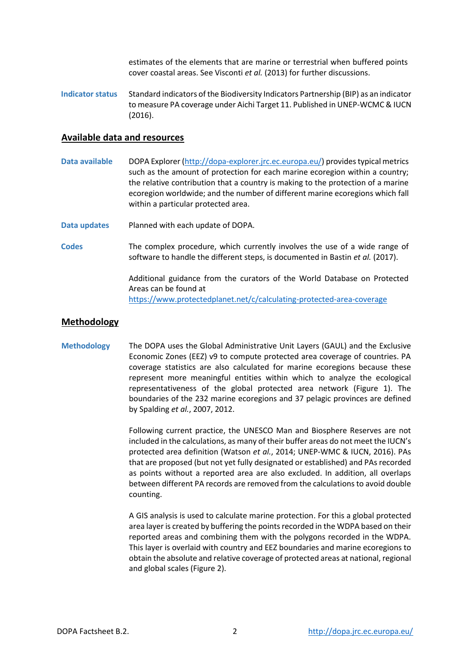estimates of the elements that are marine or terrestrial when buffered points cover coastal areas. See Visconti *et al.* (2013) for further discussions.

**Indicator status** Standard indicators of the Biodiversity Indicators Partnership (BIP) as an indicator to measure PA coverage under Aichi Target 11. Published in UNEP-WCMC & IUCN (2016).

### **Available data and resources**

- **Data available** DOPA Explorer [\(http://dopa-explorer.jrc.ec.europa.eu/\)](http://dopa-explorer.jrc.ec.europa.eu/) provides typical metrics such as the amount of protection for each marine ecoregion within a country; the relative contribution that a country is making to the protection of a marine ecoregion worldwide; and the number of different marine ecoregions which fall within a particular protected area.
- **Data updates** Planned with each update of DOPA.
- **Codes** The complex procedure, which currently involves the use of a wide range of software to handle the different steps, is documented in Bastin *et al.* (2017).

Additional guidance from the curators of the World Database on Protected Areas can be found at <https://www.protectedplanet.net/c/calculating-protected-area-coverage>

# **Methodology**

**Methodology** The DOPA uses the Global Administrative Unit Layers (GAUL) and the Exclusive Economic Zones (EEZ) v9 to compute protected area coverage of countries. PA coverage statistics are also calculated for marine ecoregions because these represent more meaningful entities within which to analyze the ecological representativeness of the global protected area network (Figure 1). The boundaries of the 232 marine ecoregions and 37 pelagic provinces are defined by Spalding *et al.*, 2007, 2012.

> Following current practice, the UNESCO Man and Biosphere Reserves are not included in the calculations, as many of their buffer areas do not meet the IUCN's protected area definition (Watson *et al.*, 2014; UNEP-WMC & IUCN, 2016). PAs that are proposed (but not yet fully designated or established) and PAs recorded as points without a reported area are also excluded. In addition, all overlaps between different PA records are removed from the calculations to avoid double counting.

> A GIS analysis is used to calculate marine protection. For this a global protected area layer is created by buffering the points recorded in the WDPA based on their reported areas and combining them with the polygons recorded in the WDPA. This layer is overlaid with country and EEZ boundaries and marine ecoregions to obtain the absolute and relative coverage of protected areas at national, regional and global scales (Figure 2).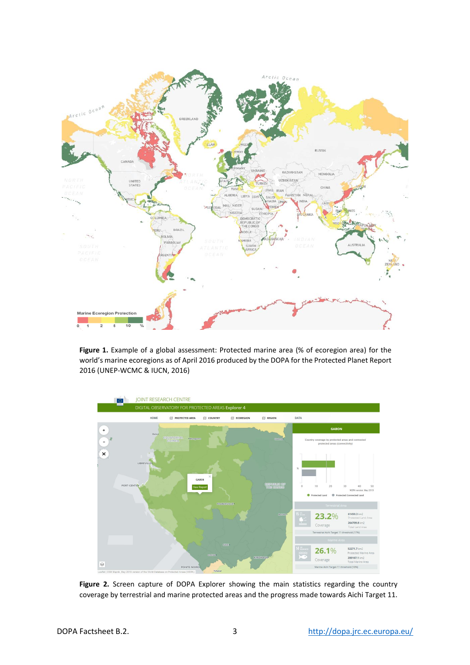

Figure 1. Example of a global assessment: Protected marine area (% of ecoregion area) for the world's marine ecoregions as of April 2016 produced by the DOPA for the Protected Planet Report 2016 (UNEP-WCMC & IUCN, 2016)



Figure 2. Screen capture of DOPA Explorer showing the main statistics regarding the country coverage by terrestrial and marine protected areas and the progress made towards Aichi Target 11.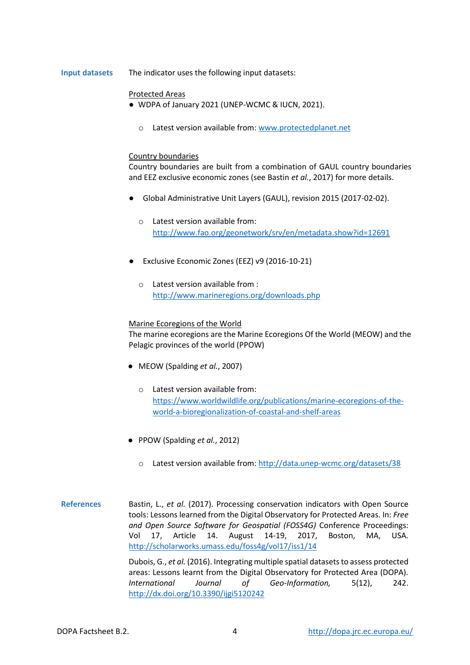#### **Input datasets** The indicator uses the following input datasets:

#### Protected Areas

- WDPA of January 2021 (UNEP-WCMC & IUCN, 2021).
	- o Latest version available from[: www.protectedplanet.net](http://www.protectedplanet.net/)

#### Country boundaries

Country boundaries are built from a combination of GAUL country boundaries and EEZ exclusive economic zones (see Bastin *et al.*, 2017) for more details.

- Global Administrative Unit Layers (GAUL), revision 2015 (2017-02-02).
	- o Latest version available from: <http://www.fao.org/geonetwork/srv/en/metadata.show?id=12691>
- Exclusive Economic Zones (EEZ) v9 (2016-10-21)
	- o Latest version available from : <http://www.marineregions.org/downloads.php>

#### Marine Ecoregions of the World

The marine ecoregions are the Marine Ecoregions Of the World (MEOW) and the Pelagic provinces of the world (PPOW)

- MEOW (Spalding *et al.*, 2007)
	- o Latest version available from: [https://www.worldwildlife.org/publications/marine-ecoregions-of-the](https://www.worldwildlife.org/publications/marine-ecoregions-of-the-world-a-bioregionalization-of-coastal-and-shelf-areas)[world-a-bioregionalization-of-coastal-and-shelf-areas](https://www.worldwildlife.org/publications/marine-ecoregions-of-the-world-a-bioregionalization-of-coastal-and-shelf-areas)
- PPOW (Spalding *et al.*, 2012)
	- o Latest version available from[: http://data.unep-wcmc.org/datasets/38](http://data.unep-wcmc.org/datasets/38)
- **References** Bastin, L., *et al.* (2017). Processing conservation indicators with Open Source tools: Lessons learned from the Digital Observatory for Protected Areas. In: *Free and Open Source Software for Geospatial (FOSS4G)* Conference Proceedings: Vol 17, Article 14. August 14-19, 2017, Boston, MA, USA. <http://scholarworks.umass.edu/foss4g/vol17/iss1/14>

Dubois, G., *et al.* (2016). Integrating multiple spatial datasets to assess protected areas: Lessons learnt from the Digital Observatory for Protected Area (DOPA). *International Journal of Geo-Information,* 5(12), 242. <http://dx.doi.org/10.3390/ijgi5120242>